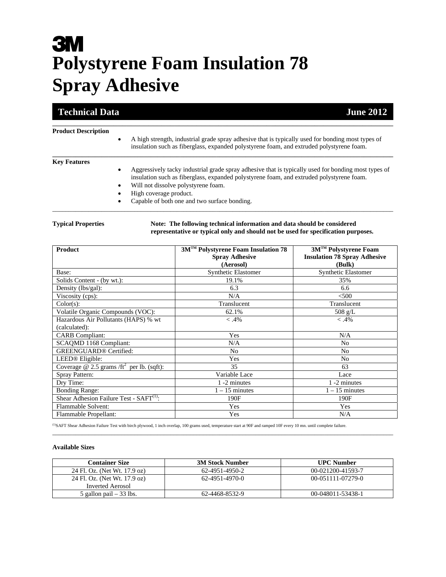# **3M Polystyrene Foam Insulation 78 Spray Adhesive**

## **Technical Data June 2012**

#### **Product Description**

 A high strength, industrial grade spray adhesive that is typically used for bonding most types of insulation such as fiberglass, expanded polystyrene foam, and extruded polystyrene foam. **\_\_\_\_\_\_\_\_\_\_\_\_\_\_\_\_\_\_\_\_\_\_\_\_\_\_\_\_\_\_\_\_\_\_\_\_\_\_\_\_\_\_\_\_\_\_\_\_\_\_\_\_\_\_\_\_\_\_\_\_\_\_\_\_\_\_\_\_\_\_\_\_\_\_\_\_\_\_\_\_\_\_\_\_\_\_\_\_\_\_\_\_\_\_\_\_\_\_\_\_\_\_\_\_** 

\_\_\_\_\_\_\_\_\_\_\_\_\_\_\_\_\_\_\_\_\_\_\_\_\_\_\_\_\_\_\_\_\_\_\_\_\_\_\_\_\_\_\_\_\_\_\_\_\_\_\_\_\_\_\_\_\_\_\_\_\_\_\_\_\_\_\_\_\_\_\_\_\_\_\_\_\_\_

\_\_\_\_\_\_\_\_\_\_\_\_\_\_\_\_\_\_\_\_\_\_\_\_\_\_\_\_\_\_\_\_\_\_\_\_\_\_\_\_\_\_\_\_\_\_\_\_\_\_\_\_\_\_\_\_\_\_\_\_\_\_\_\_\_\_\_\_\_\_\_\_\_\_\_\_\_\_\_\_\_\_\_\_\_\_\_\_\_\_\_\_\_\_\_\_\_\_\_\_\_\_\_\_

### **Key Features**

- Aggressively tacky industrial grade spray adhesive that is typically used for bonding most types of insulation such as fiberglass, expanded polystyrene foam, and extruded polystyrene foam.
- Will not dissolve polystyrene foam.
- High coverage product.
- Capable of both one and two surface bonding.

### **Typical Properties Note: The following technical information and data should be considered representative or typical only and should not be used for specification purposes.**

| <b>Product</b>                                        | 3M™ Polystyrene Foam Insulation 78 | 3M™ Polystyrene Foam                |
|-------------------------------------------------------|------------------------------------|-------------------------------------|
|                                                       | <b>Spray Adhesive</b>              | <b>Insulation 78 Spray Adhesive</b> |
|                                                       | (Aerosol)                          | (Bulk)                              |
| Base:                                                 | <b>Synthetic Elastomer</b>         | <b>Synthetic Elastomer</b>          |
| Solids Content - (by wt.):                            | 19.1%                              | 35%                                 |
| Density (lbs/gal):                                    | 6.3                                | 6.6                                 |
| Viscosity (cps):                                      | N/A                                | < 500                               |
| Color(s):                                             | Translucent                        | Translucent                         |
| Volatile Organic Compounds (VOC):                     | 62.1%                              | $508$ g/L                           |
| Hazardous Air Pollutants (HAPS) % wt                  | $-.4%$                             | $< .4\%$                            |
| (calculated):                                         |                                    |                                     |
| <b>CARB</b> Compliant:                                | Yes                                | N/A                                 |
| SCAQMD 1168 Compliant:                                | N/A                                | N <sub>0</sub>                      |
| <b>GREENGUARD®</b> Certified:                         | No                                 | No                                  |
| LEED <sup>®</sup> Eligible:                           | Yes                                | No                                  |
| Coverage @ 2.5 grams /ft <sup>2</sup> per lb. (sqft): | 35                                 | 63                                  |
| Spray Pattern:                                        | Variable Lace                      | Lace                                |
| Dry Time:                                             | 1 -2 minutes                       | 1 -2 minutes                        |
| <b>Bonding Range:</b>                                 | $1 - 15$ minutes                   | $1 - 15$ minutes                    |
| Shear Adhesion Failure Test - $SAFT^{(1)}$ :          | 190F                               | 190F                                |
| Flammable Solvent:                                    | Yes                                | Yes                                 |
| Flammable Propellant:                                 | Yes                                | N/A                                 |

(1)SAFT Shear Adhesion Failure Test with birch plywood, 1 inch overlap, 100 grams used, temperature start at 90F and ramped 10F every 10 mn. until complete failure.

#### **Available Sizes**

| <b>Container Size</b>        | <b>3M Stock Number</b> | <b>UPC Number</b>   |
|------------------------------|------------------------|---------------------|
| 24 Fl. Oz. (Net Wt. 17.9 oz) | 62-4951-4950-2         | 00-021200-41593-7   |
| 24 Fl. Oz. (Net Wt. 17.9 oz) | 62-4951-4970-0         | $00-051111-07279-0$ |
| Inverted Aerosol             |                        |                     |
| 5 gallon pail $-33$ lbs.     | 62-4468-8532-9         | 00-048011-53438-1   |

\_\_\_\_\_\_\_\_\_\_\_\_\_\_\_\_\_\_\_\_\_\_\_\_\_\_\_\_\_\_\_\_\_\_\_\_\_\_\_\_\_\_\_\_\_\_\_\_\_\_\_\_\_\_\_\_\_\_\_\_\_\_\_\_\_\_\_\_\_\_\_\_\_\_\_\_\_\_\_\_\_\_\_\_\_\_\_\_\_\_\_\_\_\_\_\_\_\_\_\_\_\_\_\_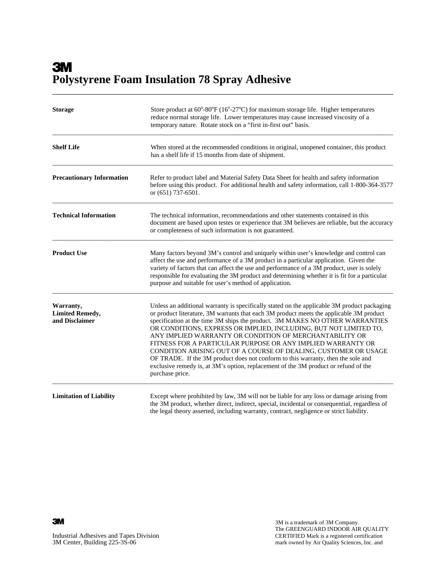# **3M Polystyrene Foam Insulation 78 Spray Adhesive**  \_\_\_\_\_\_\_\_\_\_\_\_\_\_\_\_\_\_\_\_\_\_\_\_\_\_\_\_\_\_\_\_\_\_\_\_\_\_\_\_\_\_\_\_\_\_\_\_\_\_\_\_\_\_\_\_\_\_\_\_\_\_\_\_\_\_\_\_\_\_\_\_\_\_\_\_\_\_

| <b>Storage</b>                                        | Store product at $60^{\circ}$ -80 $^{\circ}$ F (16 $^{\circ}$ -27 $^{\circ}$ C) for maximum storage life. Higher temperatures<br>reduce normal storage life. Lower temperatures may cause increased viscosity of a<br>temporary nature. Rotate stock on a "first in-first out" basis.                                                                                                                                                                                                                                                                                                                                                                                                                                                  |  |
|-------------------------------------------------------|----------------------------------------------------------------------------------------------------------------------------------------------------------------------------------------------------------------------------------------------------------------------------------------------------------------------------------------------------------------------------------------------------------------------------------------------------------------------------------------------------------------------------------------------------------------------------------------------------------------------------------------------------------------------------------------------------------------------------------------|--|
| <b>Shelf Life</b>                                     | When stored at the recommended conditions in original, unopened container, this product<br>has a shelf life if 15 months from date of shipment.                                                                                                                                                                                                                                                                                                                                                                                                                                                                                                                                                                                        |  |
| <b>Precautionary Information</b>                      | Refer to product label and Material Safety Data Sheet for health and safety information<br>before using this product. For additional health and safety information, call 1-800-364-3577<br>or $(651)$ 737-6501.                                                                                                                                                                                                                                                                                                                                                                                                                                                                                                                        |  |
| <b>Technical Information</b>                          | The technical information, recommendations and other statements contained in this<br>document are based upon testes or experience that 3M believes are reliable, but the accuracy<br>or completeness of such information is not guaranteed.                                                                                                                                                                                                                                                                                                                                                                                                                                                                                            |  |
| <b>Product Use</b>                                    | Many factors beyond 3M's control and uniquely within user's knowledge and control can<br>affect the use and performance of a 3M product in a particular application. Given the<br>variety of factors that can affect the use and performance of a 3M product, user is solely<br>responsible for evaluating the 3M product and determining whether it is fit for a particular<br>purpose and suitable for user's method of application.                                                                                                                                                                                                                                                                                                 |  |
| Warranty,<br><b>Limited Remedy,</b><br>and Disclaimer | Unless an additional warranty is specifically stated on the applicable 3M product packaging<br>or product literature, 3M warrants that each 3M product meets the applicable 3M product<br>specification at the time 3M ships the product. 3M MAKES NO OTHER WARRANTIES<br>OR CONDITIONS, EXPRESS OR IMPLIED, INCLUDING, BUT NOT LIMITED TO,<br>ANY IMPLIED WARRANTY OR CONDITION OF MERCHANTABILITY OR<br>FITNESS FOR A PARTICULAR PURPOSE OR ANY IMPLIED WARRANTY OR<br>CONDITION ARISING OUT OF A COURSE OF DEALING, CUSTOMER OR USAGE<br>OF TRADE. If the 3M product does not conform to this warranty, then the sole and<br>exclusive remedy is, at 3M's option, replacement of the 3M product or refund of the<br>purchase price. |  |
| <b>Limitation of Liability</b>                        | Except where prohibited by law, 3M will not be liable for any loss or damage arising from<br>the 3M product, whether direct, indirect, special, incidental or consequential, regardless of<br>the legal theory asserted, including warranty, contract, negligence or strict liability.                                                                                                                                                                                                                                                                                                                                                                                                                                                 |  |